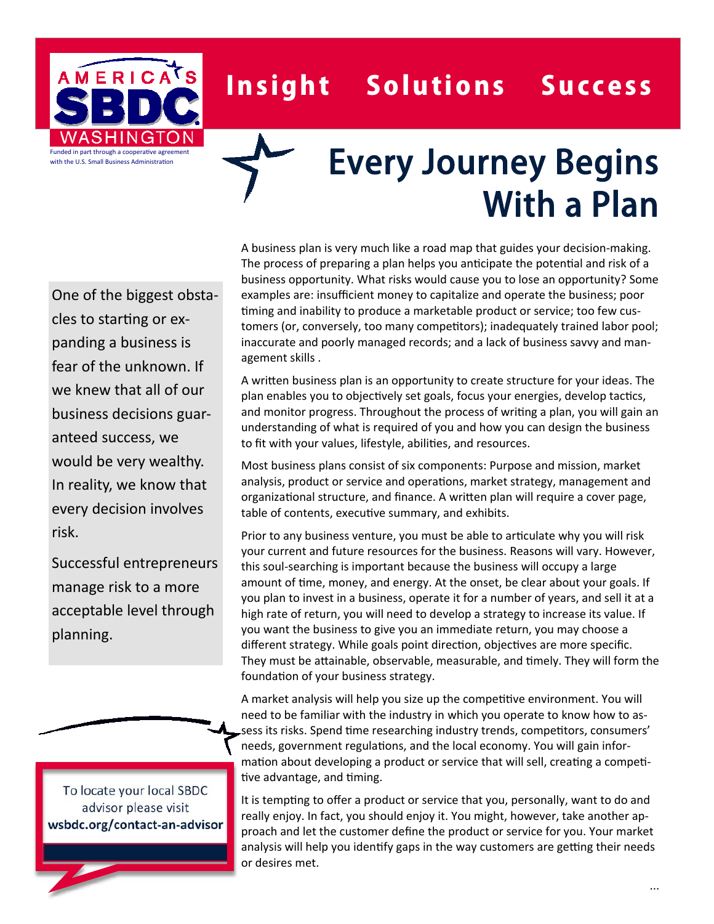

## Insight Solutions Success

## Every Journey Begins With a Plan

One of the biggest obstacles to starting or expanding a business is fear of the unknown. If we knew that all of our business decisions guaranteed success, we would be very wealthy. In reality, we know that every decision involves risk.

Successful entrepreneurs manage risk to a more acceptable level through planning.

To locate your local SBDC advisor please visit **wsbdc.org/contact‐an‐advisor** A business plan is very much like a road map that guides your decision-making. The process of preparing a plan helps you anticipate the potential and risk of a business opportunity. What risks would cause you to lose an opportunity? Some examples are: insufficient money to capitalize and operate the business; poor timing and inability to produce a marketable product or service; too few customers (or, conversely, too many competitors); inadequately trained labor pool; inaccurate and poorly managed records; and a lack of business savvy and management skills .

A written business plan is an opportunity to create structure for your ideas. The plan enables you to objectively set goals, focus your energies, develop tactics, and monitor progress. Throughout the process of writing a plan, you will gain an understanding of what is required of you and how you can design the business to fit with your values, lifestyle, abilities, and resources.

Most business plans consist of six components: Purpose and mission, market analysis, product or service and operations, market strategy, management and organizational structure, and finance. A written plan will require a cover page, table of contents, executive summary, and exhibits.

Prior to any business venture, you must be able to articulate why you will risk your current and future resources for the business. Reasons will vary. However, this soul-searching is important because the business will occupy a large amount of time, money, and energy. At the onset, be clear about your goals. If you plan to invest in a business, operate it for a number of years, and sell it at a high rate of return, you will need to develop a strategy to increase its value. If you want the business to give you an immediate return, you may choose a different strategy. While goals point direction, objectives are more specific. They must be attainable, observable, measurable, and timely. They will form the foundation of your business strategy.

A market analysis will help you size up the competitive environment. You will need to be familiar with the industry in which you operate to know how to assess its risks. Spend time researching industry trends, competitors, consumers' needs, government regulations, and the local economy. You will gain information about developing a product or service that will sell, creating a competitive advantage, and timing.

It is tempting to offer a product or service that you, personally, want to do and really enjoy. In fact, you should enjoy it. You might, however, take another approach and let the customer define the product or service for you. Your market analysis will help you identify gaps in the way customers are getting their needs or desires met.